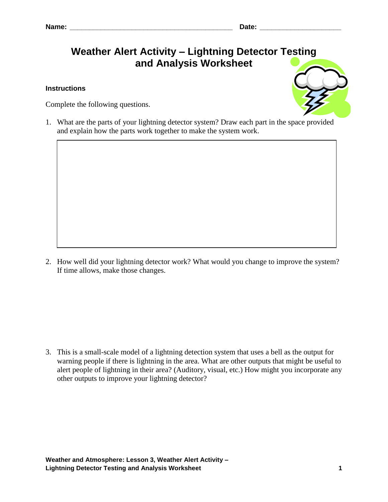## **Weather Alert Activity – Lightning Detector Testing and Analysis Worksheet**

## **Instructions**

Complete the following questions.



1. What are the parts of your lightning detector system? Draw each part in the space provided and explain how the parts work together to make the system work.

2. How well did your lightning detector work? What would you change to improve the system? If time allows, make those changes.

3. This is a small-scale model of a lightning detection system that uses a bell as the output for warning people if there is lightning in the area. What are other outputs that might be useful to alert people of lightning in their area? (Auditory, visual, etc.) How might you incorporate any other outputs to improve your lightning detector?